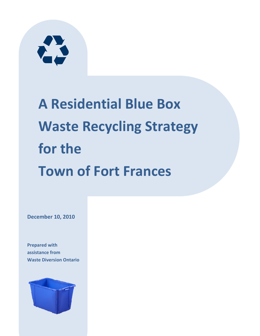

# A Residential Blue Box Waste Recycling Strategy for the Town of Fort Frances

December 10, 2010

Prepared with assistance from Waste Diversion Ontario

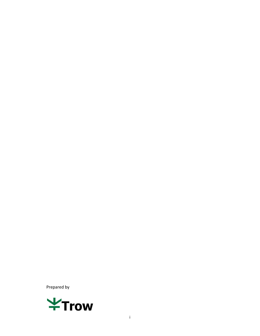Prepared by

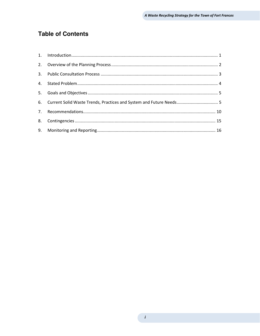## **Table of Contents**

| 6. Current Solid Waste Trends, Practices and System and Future Needs 5 |
|------------------------------------------------------------------------|
|                                                                        |
|                                                                        |
|                                                                        |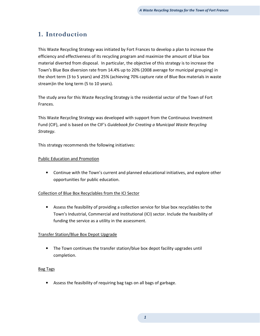# 1. Introduction

This Waste Recycling Strategy was initiated by Fort Frances to develop a plan to increase the efficiency and effectiveness of its recycling program and maximize the amount of blue box material diverted from disposal. In particular, the objective of this strategy is to increase the Town's Blue Box diversion rate from 14.4% up to 20% (2008 average for municipal grouping) in the short term (3 to 5 years) and 25% (achieving 70% capture rate of Blue Box materials in waste stream)in the long term (5 to 10 years).

The study area for this Waste Recycling Strategy is the residential sector of the Town of Fort Frances.

This Waste Recycling Strategy was developed with support from the Continuous Investment Fund (CIF), and is based on the CIF's Guidebook for Creating a Municipal Waste Recycling Strategy.

This strategy recommends the following initiatives:

#### Public Education and Promotion

• Continue with the Town's current and planned educational initiatives, and explore other opportunities for public education.

#### Collection of Blue Box Recyclables from the ICI Sector

• Assess the feasibility of providing a collection service for blue box recyclables to the Town's Industrial, Commercial and Institutional (ICI) sector. Include the feasibility of funding the service as a utility in the assessment.

#### Transfer Station/Blue Box Depot Upgrade

• The Town continues the transfer station/blue box depot facility upgrades until completion.

#### Bag Tags

• Assess the feasibility of requiring bag tags on all bags of garbage.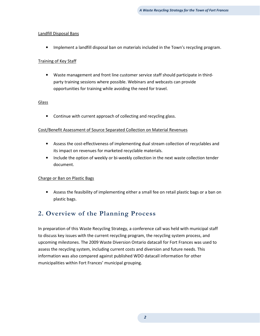#### Landfill Disposal Bans

• Implement a landfill disposal ban on materials included in the Town's recycling program.

#### Training of Key Staff

• Waste management and front line customer service staff should participate in thirdparty training sessions where possible. Webinars and webcasts can provide opportunities for training while avoiding the need for travel.

#### Glass

• Continue with current approach of collecting and recycling glass.

#### Cost/Benefit Assessment of Source Separated Collection on Material Revenues

- Assess the cost-effectiveness of implementing dual stream collection of recyclables and its impact on revenues for marketed recyclable materials.
- Include the option of weekly or bi-weekly collection in the next waste collection tender document.

#### Charge or Ban on Plastic Bags

• Assess the feasibility of implementing either a small fee on retail plastic bags or a ban on plastic bags.

# 2. Overview of the Planning Process

In preparation of this Waste Recycling Strategy, a conference call was held with municipal staff to discuss key issues with the current recycling program, the recycling system process, and upcoming milestones. The 2009 Waste Diversion Ontario datacall for Fort Frances was used to assess the recycling system, including current costs and diversion and future needs. This information was also compared against published WDO datacall information for other municipalities within Fort Frances' municipal grouping.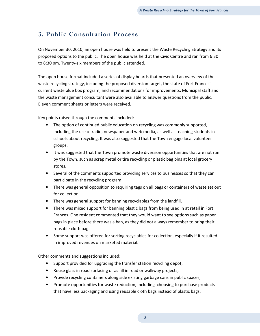# 3. Public Consultation Process

On November 30, 2010, an open house was held to present the Waste Recycling Strategy and its proposed options to the public. The open house was held at the Civic Centre and ran from 6:30 to 8:30 pm. Twenty-six members of the public attended.

The open house format included a series of display boards that presented an overview of the waste recycling strategy, including the proposed diversion target, the state of Fort Frances' current waste blue box program, and recommendations for improvements. Municipal staff and the waste management consultant were also available to answer questions from the public. Eleven comment sheets or letters were received.

Key points raised through the comments included:

- The option of continued public education on recycling was commonly supported, including the use of radio, newspaper and web media, as well as teaching students in schools about recycling. It was also suggested that the Town engage local volunteer groups.
- It was suggested that the Town promote waste diversion opportunities that are not run by the Town, such as scrap metal or tire recycling or plastic bag bins at local grocery stores.
- Several of the comments supported providing services to businesses so that they can participate in the recycling program.
- There was general opposition to requiring tags on all bags or containers of waste set out for collection.
- There was general support for banning recyclables from the landfill.
- There was mixed support for banning plastic bags from being used in at retail in Fort Frances. One resident commented that they would want to see options such as paper bags in place before there was a ban, as they did not always remember to bring their reusable cloth bag.
- Some support was offered for sorting recyclables for collection, especially if it resulted in improved revenues on marketed material.

Other comments and suggestions included:

- Support provided for upgrading the transfer station recycling depot;
- Reuse glass in road surfacing or as fill in road or walkway projects;
- Provide recycling containers along side existing garbage cans in public spaces;
- Promote opportunities for waste reduction, including choosing to purchase products that have less packaging and using reusable cloth bags instead of plastic bags;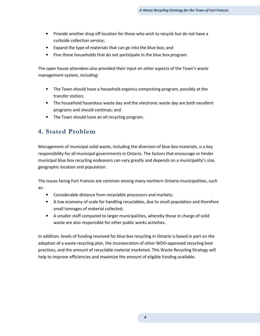- Provide another drop off location for those who wish to recycle but do not have a curbside collection service;
- Expand the type of materials that can go into the blue box; and
- Fine those households that do not participate in the blue box program.

The open house attendees also provided their input on other aspects of the Town's waste management system, including:

- The Town should have a household organics composting program, possibly at the transfer station;
- The household hazardous waste day and the electronic waste day are both excellent programs and should continue; and
- The Town should have an oil recycling program.

## 4. Stated Problem

Management of municipal solid waste, including the diversion of blue box materials, is a key responsibility for all municipal governments in Ontario. The factors that encourage or hinder municipal blue box recycling endeavors can vary greatly and depends on a municipality's size, geographic location and population.

The issues facing Fort Frances are common among many northern Ontario municipalities, such as:

- Considerable distance from recyclable processors and markets;
- A low economy of scale for handling recyclables, due to small population and therefore small tonnages of material collected;
- A smaller staff compared to larger municipalities, whereby those in charge of solid waste are also responsible for other public works activities.

In addition, levels of funding received for blue box recycling in Ontario is based in part on the adoption of a waste recycling plan, the incorporation of other WDO-approved recycling best practices, and the amount of recyclable material marketed. This Waste Recycling Strategy will help to improve efficiencies and maximize the amount of eligible funding available.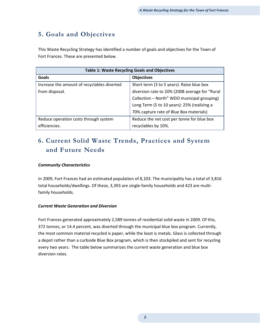# 5. Goals and Objectives

This Waste Recycling Strategy has identified a number of goals and objectives for the Town of Fort Frances. These are presented below.

| <b>Table 1: Waste Recycling Goals and Objectives</b>             |                                             |  |  |  |  |  |  |
|------------------------------------------------------------------|---------------------------------------------|--|--|--|--|--|--|
| <b>Goals</b>                                                     | <b>Objectives</b>                           |  |  |  |  |  |  |
| Increase the amount of recyclables diverted                      | Short term (3 to 5 years): Raise blue box   |  |  |  |  |  |  |
| diversion rate to 20% (2008 average for "Rural<br>from disposal. |                                             |  |  |  |  |  |  |
|                                                                  | Collection - North" WDO municipal grouping) |  |  |  |  |  |  |
|                                                                  | Long Term (5 to 10 years): 25% (realizing a |  |  |  |  |  |  |
|                                                                  | 70% capture rate of Blue Box materials)     |  |  |  |  |  |  |
| Reduce operation costs through system                            | Reduce the net cost per tonne for blue box  |  |  |  |  |  |  |
| efficiencies.                                                    | recyclables by 10%.                         |  |  |  |  |  |  |

# 6. Current Solid Waste Trends, Practices and System and Future Needs

#### Community Characteristics

In 2009, Fort Frances had an estimated population of 8,103. The municipality has a total of 3,816 total households/dwellings. Of these, 3,393 are single-family households and 423 are multifamily households.

#### Current Waste Generation and Diversion

Fort Frances generated approximately 2,589 tonnes of residential solid waste in 2009. Of this, 372 tonnes, or 14.4 percent, was diverted through the municipal blue box program. Currently, the most common material recycled is paper, while the least is metals. Glass is collected through a depot rather than a curbside Blue Box program, which is then stockpiled and sent for recycling every two years. The table below summarizes the current waste generation and blue box diversion rates.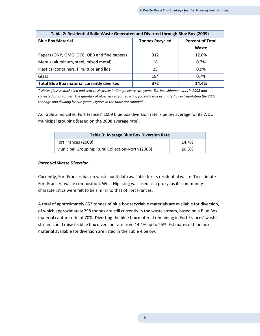| Table 2: Residential Solid Waste Generated and Diverted through Blue Box (2009) |                        |                         |  |  |  |  |  |  |  |
|---------------------------------------------------------------------------------|------------------------|-------------------------|--|--|--|--|--|--|--|
| <b>Blue Box Material</b>                                                        | <b>Tonnes Recycled</b> | <b>Percent of Total</b> |  |  |  |  |  |  |  |
|                                                                                 |                        | Waste                   |  |  |  |  |  |  |  |
| Papers (ONP, OMG, OCC, OBB and fine papers)                                     | 312                    | 12.0%                   |  |  |  |  |  |  |  |
| Metals (aluminum, steel, mixed metal)                                           | 18                     | 0.7%                    |  |  |  |  |  |  |  |
| Plastics (containers, film, tubs and lids)                                      | 25                     | $0.9\%$                 |  |  |  |  |  |  |  |
| Glass                                                                           | $18*$                  | 0.7%                    |  |  |  |  |  |  |  |
| <b>Total Blue Box material currently diverted</b>                               | 372                    | 14.4%                   |  |  |  |  |  |  |  |

\* Note: glass is stockpiled and sent to Nexcycle in Guelph every two years. The last shipment was in 2008 and consisted of 35 tonnes. The quantity of glass stored for recycling for 2009 was estimated by extrapolating the 2008 tonnage and dividing by two years. Figures in the table are rounded.

As Table 3 indicates, Fort Frances' 2009 blue box diversion rate is below average for its WDO municipal grouping (based on the 2008 average rate).

| <b>Table 3: Average Blue Box Diversion Rate</b>   |       |
|---------------------------------------------------|-------|
| Fort Frances (2009)                               | 14.4% |
| Municipal Grouping: Rural Collection-North (2008) | 20.3% |

#### Potential Waste Diversion

Currently, Fort Frances has no waste audit data available for its residential waste. To estimate Fort Frances' waste composition, West Nipissing was used as a proxy, as its community characteristics were felt to be similar to that of Fort Frances.

A total of approximately 652 tonnes of blue box recyclable materials are available for diversion, of which approximately 298 tonnes are still currently in the waste stream, based on a Blue Box material capture rate of 70%. Diverting the blue box material remaining in Fort Frances' waste stream could raise its blue box diversion rate from 14.4% up to 25%. Estimates of blue box material available for diversion are listed in the Table 4 below.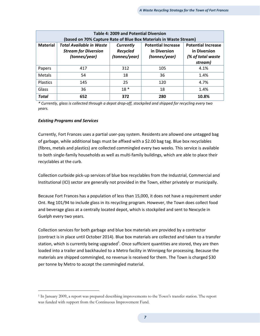| Table 4: 2009 and Potential Diversion                                                                                  |                                                                                                               |       |     |       |  |  |  |  |  |  |  |
|------------------------------------------------------------------------------------------------------------------------|---------------------------------------------------------------------------------------------------------------|-------|-----|-------|--|--|--|--|--|--|--|
| (based on 70% Capture Rate of Blue Box Materials in Waste Stream)                                                      |                                                                                                               |       |     |       |  |  |  |  |  |  |  |
| <b>Material</b>                                                                                                        | <b>Total Available in Waste</b><br><b>Potential Increase</b><br><b>Potential Increase</b><br><b>Currently</b> |       |     |       |  |  |  |  |  |  |  |
|                                                                                                                        | in Diversion                                                                                                  |       |     |       |  |  |  |  |  |  |  |
| <b>Stream for Diversion</b><br><b>Recycled</b><br>(tonnes/year)<br>(tonnes/year)<br>(tonnes/year)<br>(% of total waste |                                                                                                               |       |     |       |  |  |  |  |  |  |  |
|                                                                                                                        | stream)                                                                                                       |       |     |       |  |  |  |  |  |  |  |
| Papers                                                                                                                 | 417                                                                                                           | 312   | 105 | 4.1%  |  |  |  |  |  |  |  |
| <b>Metals</b>                                                                                                          | 54                                                                                                            | 18    | 36  | 1.4%  |  |  |  |  |  |  |  |
| Plastics                                                                                                               | 145                                                                                                           | 25    | 120 | 4.7%  |  |  |  |  |  |  |  |
| Glass                                                                                                                  | 36                                                                                                            | $18*$ | 18  | 1.4%  |  |  |  |  |  |  |  |
| <b>Total</b>                                                                                                           | 652                                                                                                           | 372   | 280 | 10.8% |  |  |  |  |  |  |  |

\* Currently, glass is collected through a depot drop-off, stockpiled and shipped for recycling every two years.

#### Existing Programs and Services

Currently, Fort Frances uses a partial user-pay system. Residents are allowed one untagged bag of garbage, while additional bags must be affixed with a \$2.00 bag tag. Blue box recyclables (fibres, metals and plastics) are collected commingled every two weeks. This service is available to both single-family households as well as multi-family buildings, which are able to place their recyclables at the curb.

Collection curbside pick-up services of blue box recyclables from the Industrial, Commercial and Institutional (ICI) sector are generally not provided in the Town, either privately or municipally.

Because Fort Frances has a population of less than 15,000, it does not have a requirement under Ont. Reg 101/94 to include glass in its recycling program. However, the Town does collect food and beverage glass at a centrally located depot, which is stockpiled and sent to Nexcycle in Guelph every two years.

Collection services for both garbage and blue box materials are provided by a contractor (contract is in place until October 2014). Blue box materials are collected and taken to a transfer station, which is currently being upgraded<sup>1</sup>. Once sufficient quantities are stored, they are then loaded into a trailer and backhauled to a Metro facility in Winnipeg for processing. Because the materials are shipped commingled, no revenue is received for them. The Town is charged \$30 per tonne by Metro to accept the commingled material.

<sup>1</sup> In January 2009, a report was prepared describing improvements to the Town's transfer station. The report was funded with support from the Continuous Improvement Fund.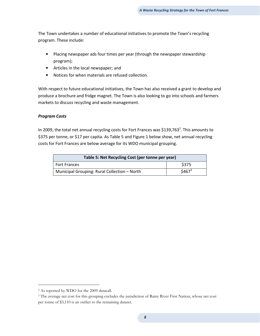The Town undertakes a number of educational initiatives to promote the Town's recycling program. These include:

- Placing newspaper ads four times per year (through the newspaper stewardship program);
- Articles in the local newspaper; and
- Notices for when materials are refused collection.

With respect to future educational initiatives, the Town has also received a grant to develop and produce a brochure and fridge magnet. The Town is also looking to go into schools and farmers markets to discuss recycling and waste management.

#### Program Costs

In 2009, the total net annual recycling costs for Fort Frances was \$139,763<sup>2</sup>. This amounts to \$375 per tonne, or \$17 per capita. As Table 5 and Figure 1 below show, net annual recycling costs for Fort Frances are below average for its WDO municipal grouping.

| Table 5: Net Recycling Cost (per tonne per year) |             |
|--------------------------------------------------|-------------|
| <b>Fort Frances</b>                              | <b>S375</b> |
| Municipal Grouping: Rural Collection - North     | $$467^3$    |

l

<sup>2</sup> As reported by WDO for the 2009 datacall.

<sup>&</sup>lt;sup>3</sup> The average net cost for this grouping excludes the jurisdiction of Rainy River First Nation, whose net cost per tonne of \$3,110 is an outlier to the remaining dataset.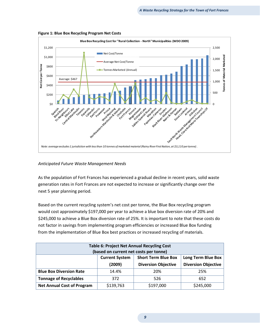

Figure 1: Blue Box Recycling Program Net Costs

#### Anticipated Future Waste Management Needs

As the population of Fort Frances has experienced a gradual decline in recent years, solid waste generation rates in Fort Frances are not expected to increase or significantly change over the next 5 year planning period.

Based on the current recycling system's net cost per tonne, the Blue Box recycling program would cost approximately \$197,000 per year to achieve a blue box diversion rate of 20% and \$245,000 to achieve a Blue Box diversion rate of 25%. It is important to note that these costs do not factor in savings from implementing program efficiencies or increased Blue Box funding from the implementation of Blue Box best practices or increased recycling of materials.

| <b>Table 6: Project Net Annual Recycling Cost</b><br>(based on current net costs per tonne) |                                                                    |     |     |  |  |  |  |  |  |
|---------------------------------------------------------------------------------------------|--------------------------------------------------------------------|-----|-----|--|--|--|--|--|--|
| <b>Short Term Blue Box</b><br><b>Current System</b><br><b>Long Term Blue Box</b>            |                                                                    |     |     |  |  |  |  |  |  |
|                                                                                             | <b>Diversion Objective</b><br>(2009)<br><b>Diversion Objective</b> |     |     |  |  |  |  |  |  |
| <b>Blue Box Diversion Rate</b>                                                              | 14.4%                                                              | 20% | 25% |  |  |  |  |  |  |
| <b>Tonnage of Recyclables</b>                                                               | 526                                                                | 652 |     |  |  |  |  |  |  |
| \$139,763<br>\$197,000<br><b>Net Annual Cost of Program</b><br>\$245,000                    |                                                                    |     |     |  |  |  |  |  |  |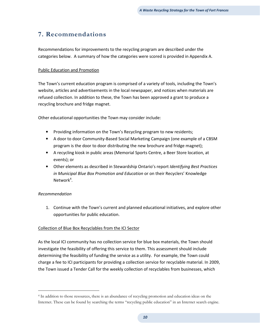# 7. Recommendations

Recommendations for improvements to the recycling program are described under the categories below. A summary of how the categories were scored is provided in Appendix A.

#### Public Education and Promotion

The Town's current education program is comprised of a variety of tools, including the Town's website, articles and advertisements in the local newspaper, and notices when materials are refused collection. In addition to these, the Town has been approved a grant to produce a recycling brochure and fridge magnet.

Other educational opportunities the Town may consider include:

- Providing information on the Town's Recycling program to new residents;
- A door to door Community-Based Social Marketing Campaign (one example of a CBSM program is the door to door distributing the new brochure and fridge magnet);
- A recycling kiosk in public areas (Memorial Sports Centre, a Beer Store location, at events); or
- Other elements as described in Stewardship Ontario's report *Identifying Best Practices* in Municipal Blue Box Promotion and Education or on their Recyclers' Knowledge Network<sup>4</sup>.

#### Recommendation

1. Continue with the Town's current and planned educational initiatives, and explore other opportunities for public education.

#### Collection of Blue Box Recyclables from the ICI Sector

As the local ICI community has no collection service for blue box materials, the Town should investigate the feasibility of offering this service to them. This assessment should include determining the feasibility of funding the service as a utility. For example, the Town could charge a fee to ICI participants for providing a collection service for recyclable material. In 2009, the Town issued a Tender Call for the weekly collection of recyclables from businesses, which

<sup>4</sup> In addition to those resources, there is an abundance of recycling promotion and education ideas on the Internet. These can be found by searching the terms "recycling public education" in an Internet search engine.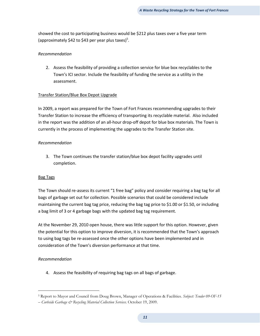showed the cost to participating business would be \$212 plus taxes over a five year term (approximately \$42 to \$43 per year plus taxes)<sup>5</sup>.

#### Recommendation

2. Assess the feasibility of providing a collection service for blue box recyclables to the Town's ICI sector. Include the feasibility of funding the service as a utility in the assessment.

#### Transfer Station/Blue Box Depot Upgrade

In 2009, a report was prepared for the Town of Fort Frances recommending upgrades to their Transfer Station to increase the efficiency of transporting its recyclable material. Also included in the report was the addition of an all-hour drop-off depot for blue box materials. The Town is currently in the process of implementing the upgrades to the Transfer Station site.

#### Recommendation

3. The Town continues the transfer station/blue box depot facility upgrades until completion.

#### Bag Tags

The Town should re-assess its current "1 free bag" policy and consider requiring a bag tag for all bags of garbage set out for collection. Possible scenarios that could be considered include maintaining the current bag tag price, reducing the bag tag price to \$1.00 or \$1.50, or including a bag limit of 3 or 4 garbage bags with the updated bag tag requirement.

At the November 29, 2010 open house, there was little support for this option. However, given the potential for this option to improve diversion, it is recommended that the Town's approach to using bag tags be re-assessed once the other options have been implemented and in consideration of the Town's diversion performance at that time.

#### Recommendation

4. Assess the feasibility of requiring bag tags on all bags of garbage.

<sup>&</sup>lt;sup>5</sup> Report to Mayor and Council from Doug Brown, Manager of Operations & Facilities. Subject: Tender 09-OF-15

<sup>–</sup> Curbside Garbage & Recycling Material Collection Services. October 19, 2009.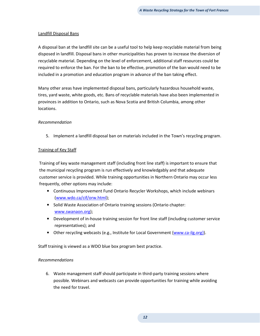#### Landfill Disposal Bans

A disposal ban at the landfill site can be a useful tool to help keep recyclable material from being disposed in landfill. Disposal bans in other municipalities has proven to increase the diversion of recyclable material. Depending on the level of enforcement, additional staff resources could be required to enforce the ban. For the ban to be effective, promotion of the ban would need to be included in a promotion and education program in advance of the ban taking effect.

Many other areas have implemented disposal bans, particularly hazardous household waste, tires, yard waste, white goods, etc. Bans of recyclable materials have also been implemented in provinces in addition to Ontario, such as Nova Scotia and British Columbia, among other locations.

#### Recommendation

5. Implement a landfill disposal ban on materials included in the Town's recycling program.

#### Training of Key Staff

Training of key waste management staff (including front line staff) is important to ensure that the municipal recycling program is run effectively and knowledgably and that adequate customer service is provided. While training opportunities in Northern Ontario may occur less frequently, other options may include:

- Continuous Improvement Fund Ontario Recycler Workshops, which include webinars (www.wdo.ca/cif/orw.html);
- Solid Waste Association of Ontario training sessions (Ontario chapter: www.swanaon.org);
- Development of in-house training session for front line staff (including customer service representatives); and
- Other recycling webcasts (e.g., Institute for Local Government {www.ca-ilg.org}).

Staff training is viewed as a WDO blue box program best practice.

#### Recommendations

6. Waste management staff should participate in third-party training sessions where possible. Webinars and webcasts can provide opportunities for training while avoiding the need for travel.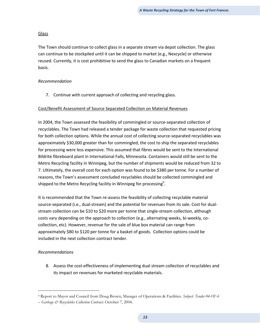#### Glass

The Town should continue to collect glass in a separate stream via depot collection. The glass can continue to be stockpiled until it can be shipped to market (e.g., Nexcycle) or otherwise reused. Currently, it is cost prohibitive to send the glass to Canadian markets on a frequent basis.

#### Recommendation

7. Continue with current approach of collecting and recycling glass.

#### Cost/Benefit Assessment of Source Separated Collection on Material Revenues

In 2004, the Town assessed the feasibility of commingled or source-separated collection of recyclables. The Town had released a tender package for waste collection that requested pricing for both collection options. While the annual cost of collecting source-separated recyclables was approximately \$30,000 greater than for commingled, the cost to ship the separated recyclables for processing were less expensive. This assumed that fibres would be sent to the International Bildrite fibreboard plant in International Falls, Minnesota. Containers would still be sent to the Metro Recycling facility in Winnipeg, but the number of shipments would be reduced from 32 to 7. Ultimately, the overall cost for each option was found to be \$380 per tonne. For a number of reasons, the Town's assessment concluded recyclables should be collected commingled and shipped to the Metro Recycling facility in Winnipeg for processing<sup>6</sup>.

It is recommended that the Town re-assess the feasibility of collecting recyclable material source-separated (i.e., dual-stream) and the potential for revenues from its sale. Cost for dualstream collection can be \$10 to \$20 more per tonne that single-stream collection, although costs vary depending on the approach to collection (e.g., alternating weeks, bi-weekly, cocollection, etc). However, revenue for the sale of blue box material can range from approximately \$80 to \$120 per tonne for a basket of goods. Collection options could be included in the next collection contract tender.

#### Recommendations

 $\overline{\phantom{0}}$ 

8. Assess the cost-effectiveness of implementing dual stream collection of recyclables and its impact on revenues for marketed recyclable materials.

<sup>&</sup>lt;sup>6</sup> Report to Mayor and Council from Doug Brown, Manager of Operations & Facilities. Subject: Tender 04-OF-6

<sup>–</sup> Garbage & Recyclables Collection Contract. October 7, 2004.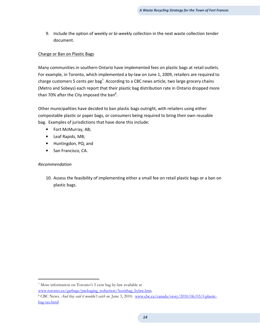9. Include the option of weekly or bi-weekly collection in the next waste collection tender document.

#### Charge or Ban on Plastic Bags

Many communities in southern Ontario have implemented fees on plastic bags at retail outlets. For example, in Toronto, which implemented a by-law on June 1, 2009, retailers are required to charge customers 5 cents per bag<sup>7</sup>. According to a CBC news article, two large grocery chains (Metro and Sobeys) each report that their plastic bag distribution rate in Ontario dropped more than 70% after the City imposed the ban<sup>8</sup>.

Other municipalities have decided to ban plastic bags outright, with retailers using either compostable plastic or paper bags, or consumers being required to bring their own reusable bag. Examples of jurisdictions that have done this include:

- Fort McMurray, AB;
- Leaf Rapids, MB;
- Huntingdon, PQ; and
- San Francisco, CA.

#### Recommendation

 $\overline{\phantom{0}}$ 

10. Assess the feasibility of implementing either a small fee on retail plastic bags or a ban on plastic bags.

7 More information on Toronto's 5 cent bag by-law available at www.toronto.ca/garbage/packaging\_reduction/5centbag\_bylaw.htm.

<sup>&</sup>lt;sup>8</sup> CBC News. *And they said it wouldn't catch on*. June 3, 2010. www.cbc.ca/canada/story/2010/06/03/f-plasticbag-tax.html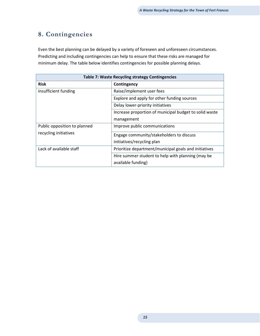# 8. Contingencies

Even the best planning can be delayed by a variety of foreseen and unforeseen circumstances. Predicting and including contingencies can help to ensure that these risks are managed for minimum delay. The table below identifies contingencies for possible planning delays.

| <b>Table 7: Waste Recycling strategy Contingencies</b> |                                                        |  |  |  |  |  |
|--------------------------------------------------------|--------------------------------------------------------|--|--|--|--|--|
| <b>Risk</b>                                            | Contingency                                            |  |  |  |  |  |
| Insufficient funding                                   | Raise/implement user fees                              |  |  |  |  |  |
|                                                        | Explore and apply for other funding sources            |  |  |  |  |  |
|                                                        | Delay lower-priority initiatives                       |  |  |  |  |  |
|                                                        | Increase proportion of municipal budget to solid waste |  |  |  |  |  |
|                                                        | management                                             |  |  |  |  |  |
| Public opposition to planned                           | Improve public communications                          |  |  |  |  |  |
| recycling initiatives                                  | Engage community/stakeholders to discuss               |  |  |  |  |  |
|                                                        | initiatives/recycling plan                             |  |  |  |  |  |
| Lack of available staff                                | Prioritize department/municipal goals and initiatives  |  |  |  |  |  |
|                                                        | Hire summer student to help with planning (may be      |  |  |  |  |  |
|                                                        | available funding)                                     |  |  |  |  |  |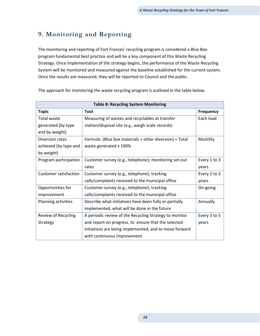# 9. Monitoring and Reporting

The monitoring and reporting of Fort Frances' recycling program is considered a Blue Box program fundamental best practice and will be a key component of this Waste Recycling Strategy. Once implementation of the strategy begins, the performance of the Waste Recycling System will be monitored and measured against the baseline established for the current system. Once the results are measured, they will be reported to Council and the public.

| <b>Table 8: Recycling System Monitoring</b> |                                                              |              |  |  |  |  |
|---------------------------------------------|--------------------------------------------------------------|--------------|--|--|--|--|
| <b>Topic</b>                                | Tool                                                         | Frequency    |  |  |  |  |
| <b>Total waste</b>                          | Measuring of wastes and recyclables at transfer              | Each load    |  |  |  |  |
| generated (by type                          | station/disposal site (e.g., weigh scale records)            |              |  |  |  |  |
| and by weight)                              |                                                              |              |  |  |  |  |
| Diversion rates                             | Formula: (Blue box materials + other diversion) $\div$ Total | Monthly      |  |  |  |  |
| achieved (by type and                       | waste generated x 100%                                       |              |  |  |  |  |
| by weight)                                  |                                                              |              |  |  |  |  |
| Program participation                       | Customer survey (e.g., telephone); monitoring set-out        | Every 1 to 3 |  |  |  |  |
|                                             | rates                                                        | years        |  |  |  |  |
| <b>Customer satisfaction</b>                | Customer survey (e.g., telephone); tracking                  | Every 1 to 3 |  |  |  |  |
|                                             | calls/complaints received to the municipal office            | years        |  |  |  |  |
| Opportunities for                           | Customer survey (e.g., telephone); tracking                  | On-going     |  |  |  |  |
| improvement                                 | calls/complaints received to the municipal office            |              |  |  |  |  |
| Planning activities                         | Describe what initiatives have been fully or partially       | Annually     |  |  |  |  |
|                                             | implemented, what will be done in the future                 |              |  |  |  |  |
| Review of Recycling                         | A periodic review of the Recycling Strategy to monitor       | Every 3 to 5 |  |  |  |  |
| Strategy                                    | and report on progress, to ensure that the selected          | years        |  |  |  |  |
|                                             | initiatives are being implemented, and to move forward       |              |  |  |  |  |
|                                             | with continuous improvement                                  |              |  |  |  |  |

The approach for monitoring the waste recycling program is outlined in the table below.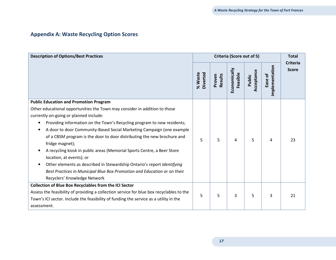#### Appendix A: Waste Recycling Option Scores

| <b>Description of Options/Best Practices</b>                                             |                     | Criteria (Score out of 5) |                          |                      |                           |                                 |
|------------------------------------------------------------------------------------------|---------------------|---------------------------|--------------------------|----------------------|---------------------------|---------------------------------|
|                                                                                          | % Waste<br>Diverted | <b>Results</b><br>Proven  | Economically<br>Feasible | Acceptance<br>Public | implementation<br>Ease of | <b>Criteria</b><br><b>Score</b> |
| <b>Public Education and Promotion Program</b>                                            |                     |                           |                          |                      |                           |                                 |
| Other educational opportunities the Town may consider in addition to those               |                     |                           |                          |                      |                           |                                 |
| currently on-going or planned include:                                                   |                     |                           |                          |                      |                           |                                 |
| Providing information on the Town's Recycling program to new residents;<br>$\bullet$     |                     |                           |                          |                      |                           |                                 |
| A door to door Community-Based Social Marketing Campaign (one example                    |                     |                           |                          |                      |                           |                                 |
| of a CBSM program is the door to door distributing the new brochure and                  | 5                   | 5                         | 4                        | 5                    | 4                         | 23                              |
| fridge magnet);                                                                          |                     |                           |                          |                      |                           |                                 |
| A recycling kiosk in public areas (Memorial Sports Centre, a Beer Store                  |                     |                           |                          |                      |                           |                                 |
| location, at events); or                                                                 |                     |                           |                          |                      |                           |                                 |
| Other elements as described in Stewardship Ontario's report Identifying<br>$\bullet$     |                     |                           |                          |                      |                           |                                 |
| Best Practices in Municipal Blue Box Promotion and Education or on their                 |                     |                           |                          |                      |                           |                                 |
| Recyclers' Knowledge Network                                                             |                     |                           |                          |                      |                           |                                 |
| <b>Collection of Blue Box Recyclables from the ICI Sector</b>                            |                     |                           |                          |                      |                           |                                 |
| Assess the feasibility of providing a collection service for blue box recyclables to the | 5                   | 5                         | 3                        | 5                    | 3                         | 21                              |
| Town's ICI sector. Include the feasibility of funding the service as a utility in the    |                     |                           |                          |                      |                           |                                 |
| assessment.                                                                              |                     |                           |                          |                      |                           |                                 |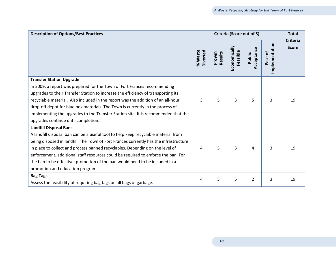| <b>Description of Options/Best Practices</b>                                          | Criteria (Score out of 5) |                          | <b>Total</b>             |                     |                           |                                 |
|---------------------------------------------------------------------------------------|---------------------------|--------------------------|--------------------------|---------------------|---------------------------|---------------------------------|
|                                                                                       | Diverted<br>% Waste       | <b>Results</b><br>Proven | Economically<br>Feasible | cceptance<br>Public | implementation<br>Ease of | <b>Criteria</b><br><b>Score</b> |
| <b>Transfer Station Upgrade</b>                                                       |                           |                          |                          |                     |                           |                                 |
| In 2009, a report was prepared for the Town of Fort Frances recommending              |                           |                          |                          |                     |                           |                                 |
| upgrades to their Transfer Station to increase the efficiency of transporting its     |                           |                          |                          |                     |                           |                                 |
| recyclable material. Also included in the report was the addition of an all-hour      | 3                         | 5                        | 3                        | 5                   | 3                         | 19                              |
| drop-off depot for blue box materials. The Town is currently in the process of        |                           |                          |                          |                     |                           |                                 |
| implementing the upgrades to the Transfer Station site. It is recommended that the    |                           |                          |                          |                     |                           |                                 |
| upgrades continue until completion.                                                   |                           |                          |                          |                     |                           |                                 |
| <b>Landfill Disposal Bans</b>                                                         |                           |                          |                          |                     |                           |                                 |
| A landfill disposal ban can be a useful tool to help keep recyclable material from    |                           |                          |                          |                     |                           |                                 |
| being disposed in landfill. The Town of Fort Frances currently has the infrastructure |                           |                          |                          |                     |                           |                                 |
| in place to collect and process banned recyclables. Depending on the level of         | 4                         | 5                        | 3                        | 4                   | 3                         | 19                              |
| enforcement, additional staff resources could be required to enforce the ban. For     |                           |                          |                          |                     |                           |                                 |
| the ban to be effective, promotion of the ban would need to be included in a          |                           |                          |                          |                     |                           |                                 |
| promotion and education program.                                                      |                           |                          |                          |                     |                           |                                 |
| <b>Bag Tags</b>                                                                       | 4                         | 5                        | 5                        | 2                   | 3                         | 19                              |
| Assess the feasibility of requiring bag tags on all bags of garbage.                  |                           |                          |                          |                     |                           |                                 |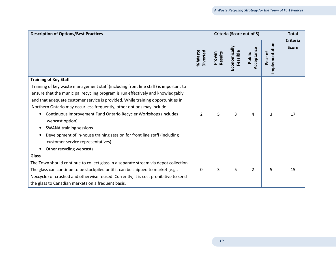| <b>Description of Options/Best Practices</b>                                                                                                                                                                                                                                                                                                                                                                                                                                                                                                                                                              |                     | Criteria (Score out of 5) |                          |                      | <b>Total</b>              |                                 |
|-----------------------------------------------------------------------------------------------------------------------------------------------------------------------------------------------------------------------------------------------------------------------------------------------------------------------------------------------------------------------------------------------------------------------------------------------------------------------------------------------------------------------------------------------------------------------------------------------------------|---------------------|---------------------------|--------------------------|----------------------|---------------------------|---------------------------------|
|                                                                                                                                                                                                                                                                                                                                                                                                                                                                                                                                                                                                           | Diverted<br>% Waste | <b>Results</b><br>Proven  | Economically<br>Feasible | Acceptance<br>Public | implementation<br>Ease of | <b>Criteria</b><br><b>Score</b> |
| <b>Training of Key Staff</b>                                                                                                                                                                                                                                                                                                                                                                                                                                                                                                                                                                              |                     |                           |                          |                      |                           |                                 |
| Training of key waste management staff (including front line staff) is important to<br>ensure that the municipal recycling program is run effectively and knowledgably<br>and that adequate customer service is provided. While training opportunities in<br>Northern Ontario may occur less frequently, other options may include:<br>Continuous Improvement Fund Ontario Recycler Workshops (includes<br>webcast option)<br><b>SWANA training sessions</b><br>Development of in-house training session for front line staff (including<br>customer service representatives)<br>Other recycling webcasts | $\overline{2}$      | 5                         | 3                        | 4                    | 3                         | 17                              |
| <b>Glass</b>                                                                                                                                                                                                                                                                                                                                                                                                                                                                                                                                                                                              |                     |                           |                          |                      |                           |                                 |
| The Town should continue to collect glass in a separate stream via depot collection.                                                                                                                                                                                                                                                                                                                                                                                                                                                                                                                      |                     |                           |                          |                      |                           |                                 |
| The glass can continue to be stockpiled until it can be shipped to market (e.g.,                                                                                                                                                                                                                                                                                                                                                                                                                                                                                                                          | $\Omega$            | 3                         | 5                        | $\overline{2}$       | 5                         | 15                              |
| Nexcycle) or crushed and otherwise reused. Currently, it is cost prohibitive to send                                                                                                                                                                                                                                                                                                                                                                                                                                                                                                                      |                     |                           |                          |                      |                           |                                 |
| the glass to Canadian markets on a frequent basis.                                                                                                                                                                                                                                                                                                                                                                                                                                                                                                                                                        |                     |                           |                          |                      |                           |                                 |